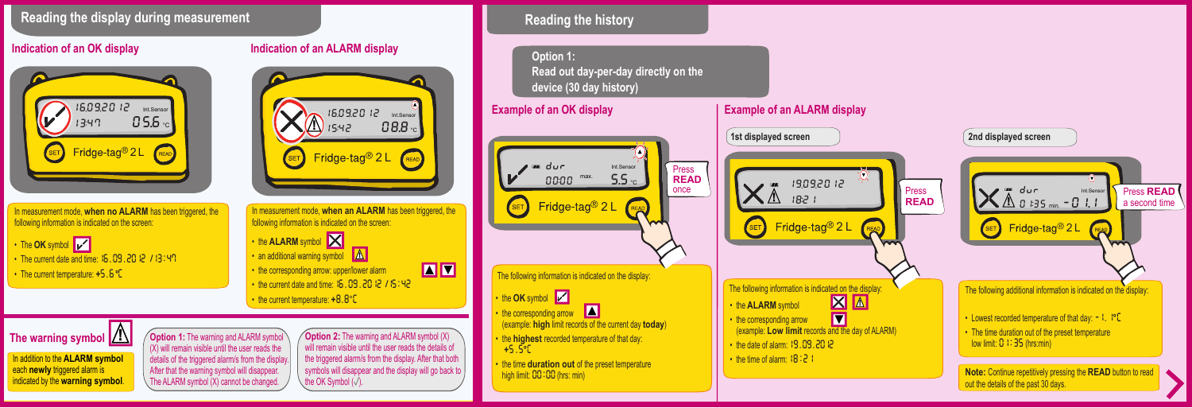## **Reading the display during measurement**

## **Indication of an OK display**



In measurement mode, **when no ALARM** has been triggered, the following information is indicated on the screen:

• The **OK** symbol • The current date and time: 15, 09, 2012 /13:47 • The current temperature: **+**5.6 **°**C

In addition to the **ALARM symbol**  each **newly** triggered alarm is indicated by the **warning symbol**.

The warning symbol  $\boxed{\triangle}$ 



will remain visible until the user reads the details of the triggered alarm/s from the display. After that both symbols will disappear and the display will go back to

**Option 1:** The warning and ALARM symbol *Option 2:* The warning and ALARM symbol (X)

(X) will remain visible until the user reads the details of the triggered alarm/s from the display. After that the warning symbol will disappear. The ALARM symbol (X) cannot be changed.

the OK Symbol  $(\sqrt{)}$ .

**Reading the history**

**Option 1: Read out day-per-day directly on the device (30 day history)**

**Example of an OK display** 



• the time **duration out** of the preset temperature high limit: 00:00 (hrs: min)

## **Example of an ALARM display 1st displayed screen 2nd displayed screen**  $\overline{Q}$ 19092012 an dur Press Int.Sensor  $\mathsf{X}$   $\mathbb{A}$  1821 **READ** <sup>0135</sup> min.-011 **!** Fridge-tag<sup>®</sup> 2 L SET Fridge-tag<sup>®</sup> 2 L READ  $(SET)$ The following information is indicated on the display: The following additional information is indicated on the display: **图**<br>2 • the **ALARM** symbol • the corresponding arrow **!** • Lowest recorded temperature of that day: -1.1**°** C (example: **Low limit** records and the day of ALARM) • The time duration out of the preset temperature low limit: 0 1:35 (hrs:min) • the date of alarm: 19.09.2012 • the time of alarm:  $18:21$

**Note:** Continue repetitively pressing the **READ** button to read out the details of the past 30 days.

Press **READ**  a second time

**READ WWW**